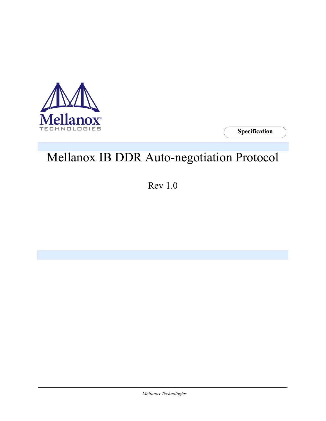

**Specification**

# Mellanox IB DDR Auto-negotiation Protocol

Rev 1.0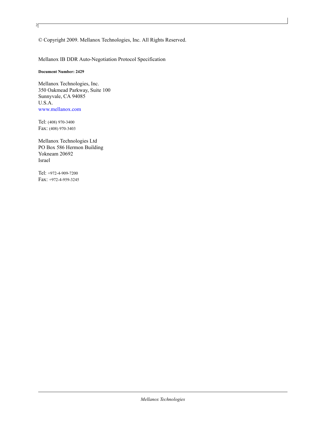#### © Copyright 2009. Mellanox Technologies, Inc. All Rights Reserved.

Mellanox IB DDR Auto-Negotiation Protocol Specification

#### **Document Number: 2429**

Mellanox Technologies, Inc. 350 Oakmead Parkway, Suite 100 Sunnyvale, CA 94085 U.S.A. [www.mellanox.com](http://www.mellanox.com )

Tel: (408) 970-3400 Fax: (408) 970-3403

Mellanox Technologies Ltd PO Box 586 Hermon Building Yokneam 20692 Israel

Tel: +972-4-909-7200 Fax: +972-4-959-3245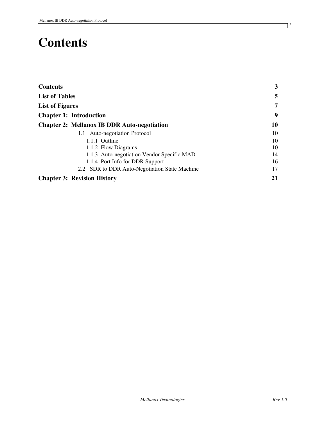### **Contents**

| <b>Contents</b>                                    | 3  |
|----------------------------------------------------|----|
| <b>List of Tables</b>                              | 5  |
| <b>List of Figures</b>                             | 7  |
| <b>Chapter 1: Introduction</b>                     | 9  |
| <b>Chapter 2: Mellanox IB DDR Auto-negotiation</b> | 10 |
| 1.1 Auto-negotiation Protocol                      | 10 |
| 1.1.1 Outline                                      | 10 |
| 1.1.2 Flow Diagrams                                | 10 |
| 1.1.3 Auto-negotiation Vendor Specific MAD         | 14 |
| 1.1.4 Port Info for DDR Support                    | 16 |
| 2.2 SDR to DDR Auto-Negotiation State Machine      | 17 |
| <b>Chapter 3: Revision History</b>                 | 21 |

 $\overline{\phantom{a}}$  3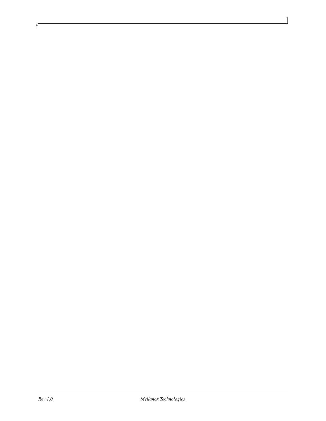$4\lceil$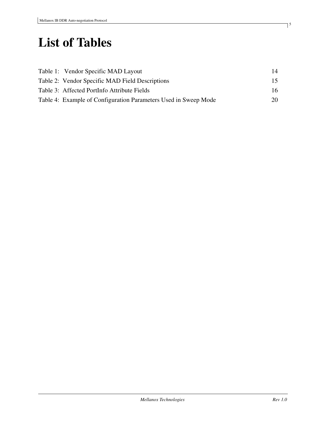## **List of Tables**

| Table 1: Vendor Specific MAD Layout                             | 14 |
|-----------------------------------------------------------------|----|
| Table 2: Vendor Specific MAD Field Descriptions                 | 15 |
| Table 3: Affected PortInfo Attribute Fields                     | 16 |
| Table 4: Example of Configuration Parameters Used in Sweep Mode | 20 |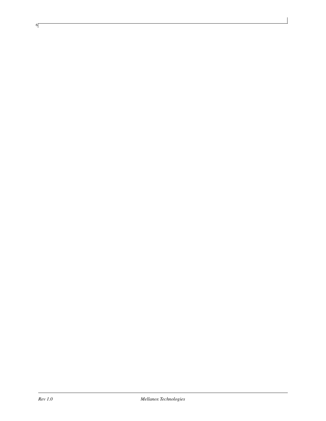$6\sqrt{ }$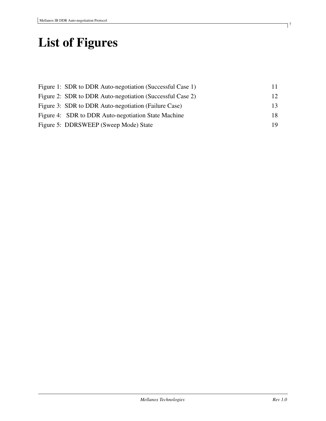# **List of Figures**

| Figure 1: SDR to DDR Auto-negotiation (Successful Case 1) |     |
|-----------------------------------------------------------|-----|
| Figure 2: SDR to DDR Auto-negotiation (Successful Case 2) | 12. |
| Figure 3: SDR to DDR Auto-negotiation (Failure Case)      | 13  |
| Figure 4: SDR to DDR Auto-negotiation State Machine       | 18  |
| Figure 5: DDRSWEEP (Sweep Mode) State                     | 19  |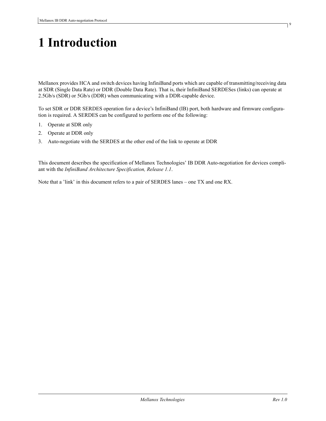# **1 Introduction**

Mellanox provides HCA and switch devices having InfiniBand ports which are capable of transmitting/receiving data at SDR (Single Data Rate) or DDR (Double Data Rate). That is, their InfiniBand SERDESes (links) can operate at 2.5Gb/s (SDR) or 5Gb/s (DDR) when communicating with a DDR-capable device.

To set SDR or DDR SERDES operation for a device's InfiniBand (IB) port, both hardware and firmware configuration is required. A SERDES can be configured to perform one of the following:

- 1. Operate at SDR only
- 2. Operate at DDR only
- 3. Auto-negotiate with the SERDES at the other end of the link to operate at DDR

This document describes the specification of Mellanox Technologies' IB DDR Auto-negotiation for devices compliant with the *InfiniBand Architecture Specification, Release 1.1*.

Note that a 'link' in this document refers to a pair of SERDES lanes – one TX and one RX.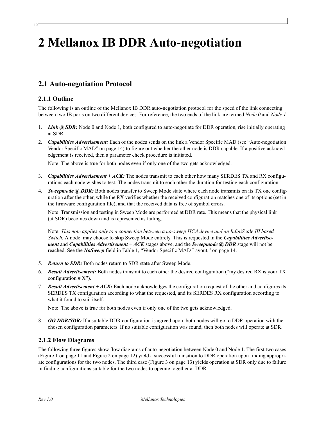## **2 Mellanox IB DDR Auto-negotiation**

### **2.1 Auto-negotiation Protocol**

### **2.1.1 Outline**

10

The following is an outline of the Mellanox IB DDR auto-negotiation protocol for the speed of the link connecting between two IB ports on two different devices. For reference, the two ends of the link are termed *Node 0* and *Node 1*.

- 1. *Link @ SDR:* Node 0 and Node 1, both configured to auto-negotiate for DDR operation, rise initially operating at SDR.
- 2. *Capabilities Advertisement:* Each of the nodes sends on the link a Vendor Specific MAD (see ["Auto-negotiation](#page-13-0)  Vendor Specific MAD" on <u>page 14</u>) to figure out whether the other node is DDR capable. If a positive acknowledgement is received, then a parameter check procedure is initiated.

Note: The above is true for both nodes even if only one of the two gets acknowledged.

- 3. *Capabilities Advertisement + ACK:* The nodes transmit to each other how many SERDES TX and RX configurations each node wishes to test. The nodes transmit to each other the duration for testing each configuration.
- 4. *Sweepmode @ DDR:* Both nodes transfer to Sweep Mode state where each node transmits on its TX one configuration after the other, while the RX verifies whether the received configuration matches one of its options (set in the firmware configuration file), and that the received data is free of symbol errors.

Note: Transmission and testing in Sweep Mode are performed at DDR rate. This means that the physical link (at SDR) becomes down and is represented as failing.

Note: *This note applies only to a connection between a no-sweep HCA device and an InfiniScale III based Switch.* A node may choose to skip Sweep Mode entirely. This is requested in the *Capabilities Advertisement* and *Capabilities Advertisement + ACK* stages above, and the *Sweepmode @ DDR* stage will not be reached. See the *NoSweep* field in [Table 1, "Vendor Specific MAD Layout," on page 14.](#page-13-1)

- 5. *Return to SDR:* Both nodes return to SDR state after Sweep Mode.
- 6. *Result Advertisement:* Both nodes transmit to each other the desired configuration ("my desired RX is your TX configuration  $# X$ ").
- 7. *Result Advertisement + ACK:* Each node acknowledges the configuration request of the other and configures its SERDES TX configuration according to what the requested, and its SERDES RX configuration according to what it found to suit itself.

Note: The above is true for both nodes even if only one of the two gets acknowledged.

8. *GO DDR/SDR:* If a suitable DDR configuration is agreed upon, both nodes will go to DDR operation with the chosen configuration parameters. If no suitable configuration was found, then both nodes will operate at SDR.

#### **2.1.2 Flow Diagrams**

The following three figures show flow diagrams of auto-negotiation between Node 0 and Node 1. The first two cases [\(Figure 1 on page 11](#page-10-0) and [Figure 2 on page 12](#page-11-0)) yield a successful transition to DDR operation upon finding appropriate configurations for the two nodes. The third case [\(Figure 3 on page 13](#page-12-0)) yields operation at SDR only due to failure in finding configurations suitable for the two nodes to operate together at DDR.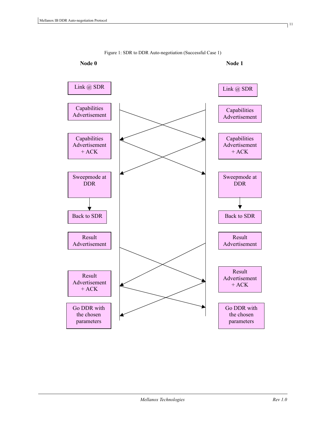



<span id="page-10-0"></span>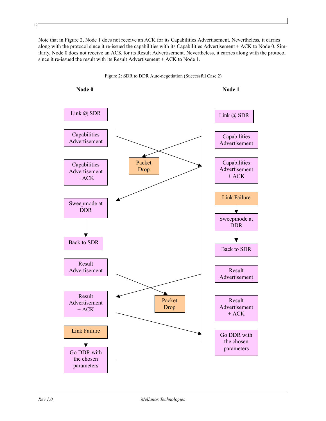Note that in [Figure 2](#page-11-0), Node 1 does not receive an ACK for its Capabilities Advertisement. Nevertheless, it carries along with the protocol since it re-issued the capabilities with its Capabilities Advertisement + ACK to Node 0. Similarly, Node 0 does not receive an ACK for its Result Advertisement. Nevertheless, it carries along with the protocol since it re-issued the result with its Result Advertisement + ACK to Node 1.



<span id="page-11-0"></span>Figure 2: SDR to DDR Auto-negotiation (Successful Case 2)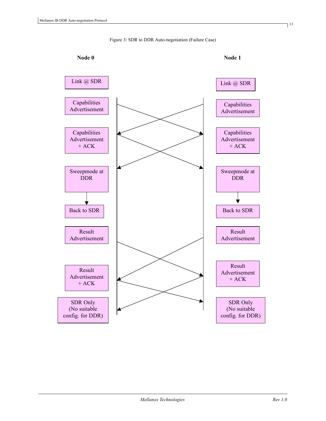

<span id="page-12-0"></span>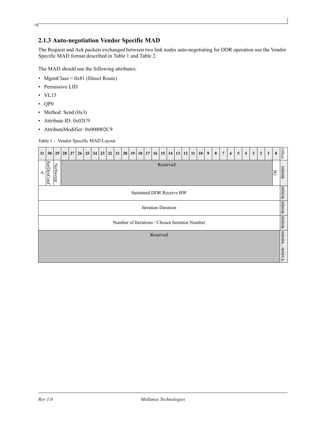### <span id="page-13-0"></span>**2.1.3 Auto-negotiation Vendor Specific MAD**

The Request and Ack packets exchanged between two link nodes auto-negotiating for DDR operation use the Vendor Specific MAD format described in [Table 1](#page-13-1) and [Table 2.](#page-14-0)

The MAD should use the following attributes:

- MgmtClass =  $0x81$  (Direct Route)
- Permissive LID
- VL15
- QP0
- Method: Send (0x3)
- Attribute ID: 0x02C9
- AttributeModifier: 0x000002C9

<span id="page-13-1"></span>Table 1 - Vendor Specific MAD Layout

| 31                                                  | 30                                             | 29 28 |  | 27 | 26 |  |  | $25 \mid 24 \mid 23 \mid 22$ |  |               |                                          | $21 \mid 20 \mid 19 \mid 18$ |  |  |  | $17 \mid 16 \mid 15 \mid 14 \mid$ |  |  | $13 \mid 12$ | 11 | 10 | 9 | 8 | $\overline{7}$ | 6 | $\overline{5}$ | $\overline{4}$ | $\mathbf{3}$ | $\overline{2}$ | $\mathbf{1}$ | $\bf{0}$ | Offset |
|-----------------------------------------------------|------------------------------------------------|-------|--|----|----|--|--|------------------------------|--|---------------|------------------------------------------|------------------------------|--|--|--|-----------------------------------|--|--|--------------|----|----|---|---|----------------|---|----------------|----------------|--------------|----------------|--------------|----------|--------|
| SerDesConf<br>Reserved<br><b>NoSweep</b><br>SG<br>A |                                                |       |  |    |    |  |  |                              |  |               |                                          | 00000h                       |  |  |  |                                   |  |  |              |    |    |   |   |                |   |                |                |              |                |              |          |        |
|                                                     | <b>Sustained DDR Receive BW</b>                |       |  |    |    |  |  |                              |  | <b>00004h</b> |                                          |                              |  |  |  |                                   |  |  |              |    |    |   |   |                |   |                |                |              |                |              |          |        |
| <b>Iteration Duration</b>                           |                                                |       |  |    |    |  |  |                              |  |               | <b>00004h</b>                            |                              |  |  |  |                                   |  |  |              |    |    |   |   |                |   |                |                |              |                |              |          |        |
|                                                     | Number of Iterations / Chosen Iteration Number |       |  |    |    |  |  |                              |  |               |                                          | 4+0000                       |  |  |  |                                   |  |  |              |    |    |   |   |                |   |                |                |              |                |              |          |        |
| Reserved                                            |                                                |       |  |    |    |  |  |                              |  |               | <b>00008h</b><br>$\blacksquare$<br>OOFCh |                              |  |  |  |                                   |  |  |              |    |    |   |   |                |   |                |                |              |                |              |          |        |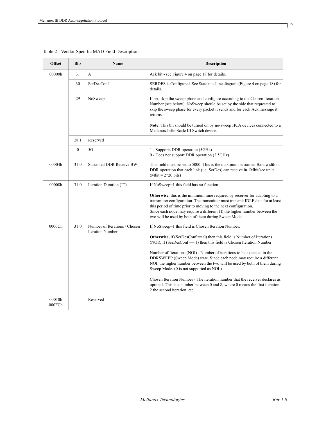| <b>Offset</b>      | <b>Bits</b>  | Name                                                     | <b>Description</b>                                                                                                                                                                                                                                                                                                                                                          |
|--------------------|--------------|----------------------------------------------------------|-----------------------------------------------------------------------------------------------------------------------------------------------------------------------------------------------------------------------------------------------------------------------------------------------------------------------------------------------------------------------------|
| 00000h             | 31           | $\overline{A}$                                           | Ack bit - see Figure 4 on page 18 for details.                                                                                                                                                                                                                                                                                                                              |
|                    | 30           | <b>SerDesConf</b>                                        | SERDES is Configured. See State machine diagram (Figure 4 on page 18) for<br>details.                                                                                                                                                                                                                                                                                       |
|                    | 29           | NoSweep                                                  | If set, skip the sweep phase and configure according to the Chosen Iteration<br>Number (see below). NoSweep should be set by the side that requested to<br>skip the sweep phase for every packet it sends and for each Ack message it<br>returns                                                                                                                            |
|                    |              |                                                          | Note: This bit should be turned on by no-sweep HCA devices connected to a<br>Mellanox InfiniScale III Switch device.                                                                                                                                                                                                                                                        |
|                    | 28:1         | Reserved                                                 |                                                                                                                                                                                                                                                                                                                                                                             |
|                    | $\mathbf{0}$ | 5G                                                       | 1 - Supports DDR operation (5GHz)<br>0 - Does not support DDR operation (2.5GHz)                                                                                                                                                                                                                                                                                            |
| 00004h             | 31:0         | <b>Sustained DDR Receive BW</b>                          | This field must be set to 5000. This is the maximum sustained Bandwidth in<br>DDR operation that each link (i.e. SerDes) can receive in 1Mbit/sec units.<br>(Mbit = $2^{\wedge}20$ bits)                                                                                                                                                                                    |
| 00008h             | 31:0         | Iteration Duration (IT)                                  | If NoSweep=1 this field has no function.                                                                                                                                                                                                                                                                                                                                    |
|                    |              |                                                          | <b>Otherwise</b> , this is the minimum time required by receiver for adapting to a<br>transmitter configuration. The transmitter must transmit IDLE data for at least<br>this period of time prior to moving to the next configuration.<br>Since each node may require a different IT, the higher number between the<br>two will be used by both of them during Sweep Mode. |
| 0000C <sub>h</sub> | 31:0         | Number of Iterations / Chosen<br><b>Iteration Number</b> | If NoSweep=1 this field is Chosen Iteration Number.                                                                                                                                                                                                                                                                                                                         |
|                    |              |                                                          | <b>Otherwise</b> , if (SerDesConf $== 0$ ) then this field is Number of Iterations<br>(NOI); if (SerDesConf = $= 1$ ) then this field is Chosen Iteration Number                                                                                                                                                                                                            |
|                    |              |                                                          | Number of Iterations (NOI) - Number of iterations to be executed in the<br>DDRSWEEP (Sweep Mode) state. Since each node may require a different<br>NOI, the higher number between the two will be used by both of them during<br>Sweep Mode. (0 is not supported as NOI.)                                                                                                   |
|                    |              |                                                          | Chosen Iteration Number - The iteration number that the receiver declares as<br>optimal. This is a number between 0 and 8, where 0 means the first iteration,<br>2 the second iteration, etc.                                                                                                                                                                               |
| 00010h<br>000FCh   |              | Reserved                                                 |                                                                                                                                                                                                                                                                                                                                                                             |

<span id="page-14-0"></span>Table 2 - Vendor Specific MAD Field Descriptions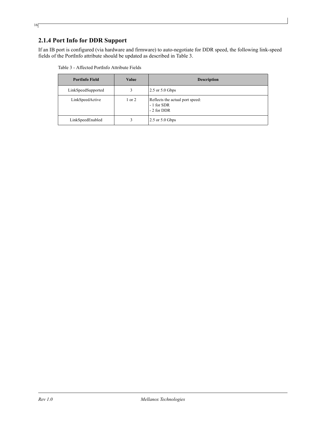### **2.1.4 Port Info for DDR Support**

If an IB port is configured (via hardware and firmware) to auto-negotiate for DDR speed, the following link-speed fields of the PortInfo attribute should be updated as described in [Table 3.](#page-15-0)

<span id="page-15-0"></span>

| <b>PortInfo Field</b> | Value  | <b>Description</b>                                             |
|-----------------------|--------|----------------------------------------------------------------|
| LinkSpeedSupported    | 3      | $2.5$ or $5.0$ Gbps                                            |
| LinkSpeedActive       | 1 or 2 | Reflects the actual port speed:<br>$-1$ for SDR<br>- 2 for DDR |
| LinkSpeedEnabled      | 3      | 2.5 or $5.0$ Gbps                                              |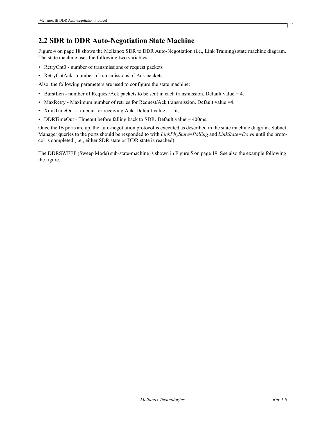### **2.2 SDR to DDR Auto-Negotiation State Machine**

[Figure 4 on page 18](#page-17-0) shows the Mellanox SDR to DDR Auto-Negotiation (i.e., Link Training) state machine diagram. The state machine uses the following two variables:

- RetryCnt0 number of transmissions of request packets
- RetryCntAck number of transmissions of Ack packets

Also, the following parameters are used to configure the state machine:

- BurstLen number of Request/Ack packets to be sent in each transmission. Default value  $= 4$ .
- MaxRetry Maximum number of retries for Request/Ack transmission. Default value =4.
- XmitTimeOut timeout for receiving Ack. Default value = 1ms.
- DDRTimeOut Timeout before falling back to SDR. Default value = 400ms.

Once the IB ports are up, the auto-negotiation protocol is executed as described in the state machine diagram. Subnet Manager queries to the ports should be responded to with *LinkPhyState=Polling* and *LinkState=Down* until the protocol is completed (i.e., either SDR state or DDR state is reached).

The DDRSWEEP (Sweep Mode) sub-state-machine is shown in [Figure 5 on page 19](#page-18-0). See also the example following the figure.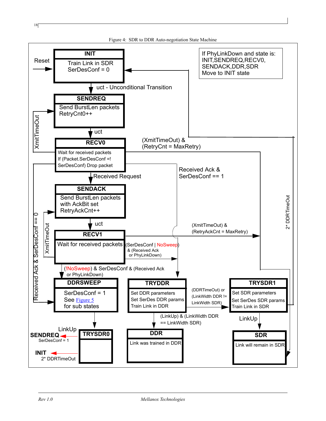<span id="page-17-0"></span>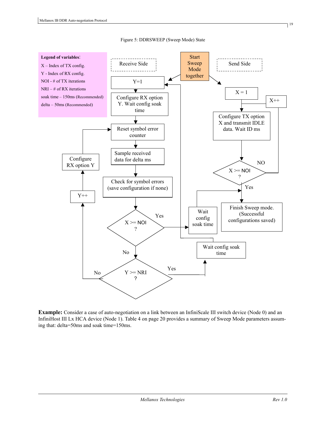<span id="page-18-0"></span>

Figure 5: DDRSWEEP (Sweep Mode) State

**Example:** Consider a case of auto-negotiation on a link between an InfiniScale III switch device (Node 0) and an InfiniHost III Lx HCA device (Node 1). [Table 4 on page 20](#page-19-0) provides a summary of Sweep Mode parameters assuming that: delta=50ms and soak time=150ms.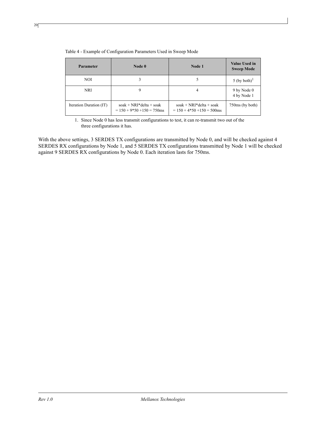| <b>Parameter</b>        | Node 0                                                      | Node 1                                                      | <b>Value Used in</b><br><b>Sweep Mode</b> |  |  |  |
|-------------------------|-------------------------------------------------------------|-------------------------------------------------------------|-------------------------------------------|--|--|--|
| NOI                     | 3                                                           |                                                             | 5 (by both) $1$                           |  |  |  |
| <b>NRI</b>              | 9                                                           | 4                                                           | 9 by Node 0<br>4 by Node 1                |  |  |  |
| Iteration Duration (IT) | $soak + NRI^*delta + soak$<br>$= 150 + 9*50 + 150 = 750$ ms | $s$ oak + NRI*delta + soak<br>$= 150 + 4*50 + 150 = 500$ ms | 750ms (by both)                           |  |  |  |

<span id="page-19-0"></span>Table 4 - Example of Configuration Parameters Used in Sweep Mode

1. Since Node 0 has less transmit configurations to test, it can re-transmit two out of the three configurations it has.

With the above settings, 3 SERDES TX configurations are transmitted by Node 0, and will be checked against 4 SERDES RX configurations by Node 1, and 5 SERDES TX configurations transmitted by Node 1 will be checked against 9 SERDES RX configurations by Node 0. Each iteration lasts for 750ms.